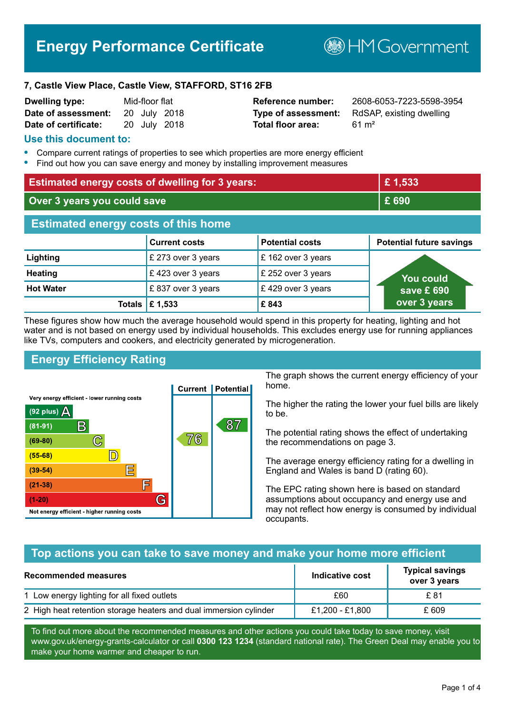# **Energy Performance Certificate**

**B**HM Government

#### **7, Castle View Place, Castle View, STAFFORD, ST16 2FB**

| <b>Dwelling type:</b> | Mid-floor flat |              |
|-----------------------|----------------|--------------|
| Date of assessment:   |                | 20 July 2018 |
| Date of certificate:  |                | 20 July 2018 |

# **Total floor area:** 61 m<sup>2</sup>

**Reference number:** 2608-6053-7223-5598-3954 **Type of assessment:** RdSAP, existing dwelling

#### **Use this document to:**

- **•** Compare current ratings of properties to see which properties are more energy efficient
- **•** Find out how you can save energy and money by installing improvement measures

| <b>Estimated energy costs of dwelling for 3 years:</b> |                                 | £1,533                 |                                 |
|--------------------------------------------------------|---------------------------------|------------------------|---------------------------------|
| Over 3 years you could save                            |                                 | £ 690                  |                                 |
| <b>Estimated energy costs of this home</b>             |                                 |                        |                                 |
|                                                        | <b>Current costs</b>            | <b>Potential costs</b> | <b>Potential future savings</b> |
| Lighting                                               | £ 273 over 3 years              | £162 over 3 years      |                                 |
| <b>Heating</b>                                         | £423 over 3 years               | £ 252 over 3 years     | <b>You could</b>                |
| <b>Hot Water</b>                                       | £837 over 3 years               | £429 over 3 years      | save £ $690$                    |
|                                                        | Totals $\mathbf \epsilon$ 1,533 | £843                   | over 3 years                    |

These figures show how much the average household would spend in this property for heating, lighting and hot water and is not based on energy used by individual households. This excludes energy use for running appliances like TVs, computers and cookers, and electricity generated by microgeneration.

# **Energy Efficiency Rating**



The graph shows the current energy efficiency of your home.

The higher the rating the lower your fuel bills are likely to be.

The potential rating shows the effect of undertaking the recommendations on page 3.

The average energy efficiency rating for a dwelling in England and Wales is band D (rating 60).

The EPC rating shown here is based on standard assumptions about occupancy and energy use and may not reflect how energy is consumed by individual occupants.

# **Top actions you can take to save money and make your home more efficient**

| Recommended measures                                              | Indicative cost | <b>Typical savings</b><br>over 3 years |
|-------------------------------------------------------------------|-----------------|----------------------------------------|
| 1 Low energy lighting for all fixed outlets                       | £60             | £ 81                                   |
| 2 High heat retention storage heaters and dual immersion cylinder | £1,200 - £1,800 | £ 609                                  |

To find out more about the recommended measures and other actions you could take today to save money, visit www.gov.uk/energy-grants-calculator or call **0300 123 1234** (standard national rate). The Green Deal may enable you to make your home warmer and cheaper to run.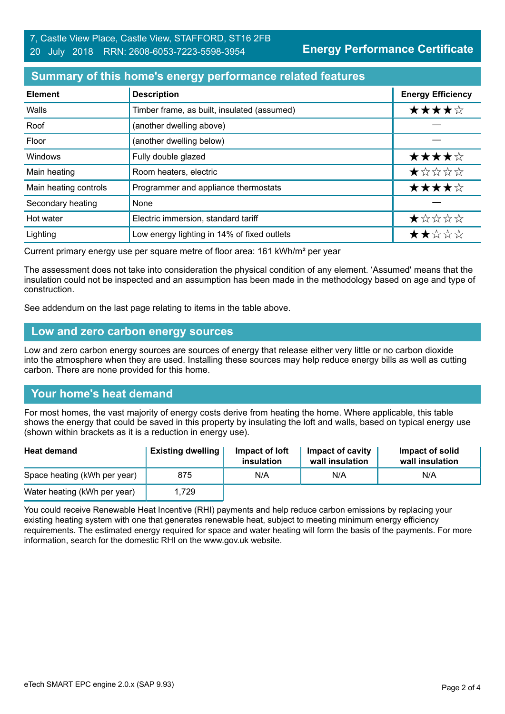# **Summary of this home's energy performance related features**

| <b>Element</b>        | <b>Description</b>                          | <b>Energy Efficiency</b> |
|-----------------------|---------------------------------------------|--------------------------|
| Walls                 | Timber frame, as built, insulated (assumed) | ★★★★☆                    |
| Roof                  | (another dwelling above)                    |                          |
| Floor                 | (another dwelling below)                    |                          |
| Windows               | Fully double glazed                         | ★★★★☆                    |
| Main heating          | Room heaters, electric                      | ★☆☆☆☆                    |
| Main heating controls | Programmer and appliance thermostats        | ★★★★☆                    |
| Secondary heating     | None                                        |                          |
| Hot water             | Electric immersion, standard tariff         | ★☆☆☆☆                    |
| Lighting              | Low energy lighting in 14% of fixed outlets | ★★☆☆☆                    |

Current primary energy use per square metre of floor area: 161 kWh/m² per year

The assessment does not take into consideration the physical condition of any element. 'Assumed' means that the insulation could not be inspected and an assumption has been made in the methodology based on age and type of construction.

See addendum on the last page relating to items in the table above.

#### **Low and zero carbon energy sources**

Low and zero carbon energy sources are sources of energy that release either very little or no carbon dioxide into the atmosphere when they are used. Installing these sources may help reduce energy bills as well as cutting carbon. There are none provided for this home.

# **Your home's heat demand**

For most homes, the vast majority of energy costs derive from heating the home. Where applicable, this table shows the energy that could be saved in this property by insulating the loft and walls, based on typical energy use (shown within brackets as it is a reduction in energy use).

| <b>Heat demand</b>           | <b>Existing dwelling</b> | Impact of loft<br>insulation | Impact of cavity<br>wall insulation | Impact of solid<br>wall insulation |
|------------------------------|--------------------------|------------------------------|-------------------------------------|------------------------------------|
| Space heating (kWh per year) | 875                      | N/A                          | N/A                                 | N/A                                |
| Water heating (kWh per year) | 1,729                    |                              |                                     |                                    |

You could receive Renewable Heat Incentive (RHI) payments and help reduce carbon emissions by replacing your existing heating system with one that generates renewable heat, subject to meeting minimum energy efficiency requirements. The estimated energy required for space and water heating will form the basis of the payments. For more information, search for the domestic RHI on the www.gov.uk website.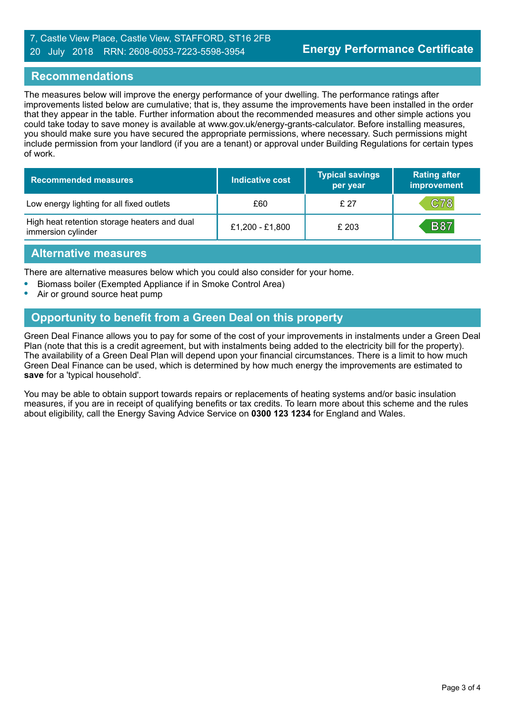#### 7, Castle View Place, Castle View, STAFFORD, ST16 2FB 20 July 2018 RRN: 2608-6053-7223-5598-3954

#### **Recommendations**

The measures below will improve the energy performance of your dwelling. The performance ratings after improvements listed below are cumulative; that is, they assume the improvements have been installed in the order that they appear in the table. Further information about the recommended measures and other simple actions you could take today to save money is available at www.gov.uk/energy-grants-calculator. Before installing measures, you should make sure you have secured the appropriate permissions, where necessary. Such permissions might include permission from your landlord (if you are a tenant) or approval under Building Regulations for certain types of work.

| <b>Recommended measures</b>                                        | Indicative cost | <b>Typical savings</b><br>per year | <b>Rating after</b><br>improvement |
|--------------------------------------------------------------------|-----------------|------------------------------------|------------------------------------|
| Low energy lighting for all fixed outlets                          | £60             | £27                                | C78                                |
| High heat retention storage heaters and dual<br>immersion cylinder | £1,200 - £1,800 | £ 203                              | <b>B87</b>                         |

#### **Alternative measures**

There are alternative measures below which you could also consider for your home.

- **•** Biomass boiler (Exempted Appliance if in Smoke Control Area)
- **•** Air or ground source heat pump

#### **Opportunity to benefit from a Green Deal on this property**

Green Deal Finance allows you to pay for some of the cost of your improvements in instalments under a Green Deal Plan (note that this is a credit agreement, but with instalments being added to the electricity bill for the property). The availability of a Green Deal Plan will depend upon your financial circumstances. There is a limit to how much Green Deal Finance can be used, which is determined by how much energy the improvements are estimated to **save** for a 'typical household'.

You may be able to obtain support towards repairs or replacements of heating systems and/or basic insulation measures, if you are in receipt of qualifying benefits or tax credits. To learn more about this scheme and the rules about eligibility, call the Energy Saving Advice Service on **0300 123 1234** for England and Wales.